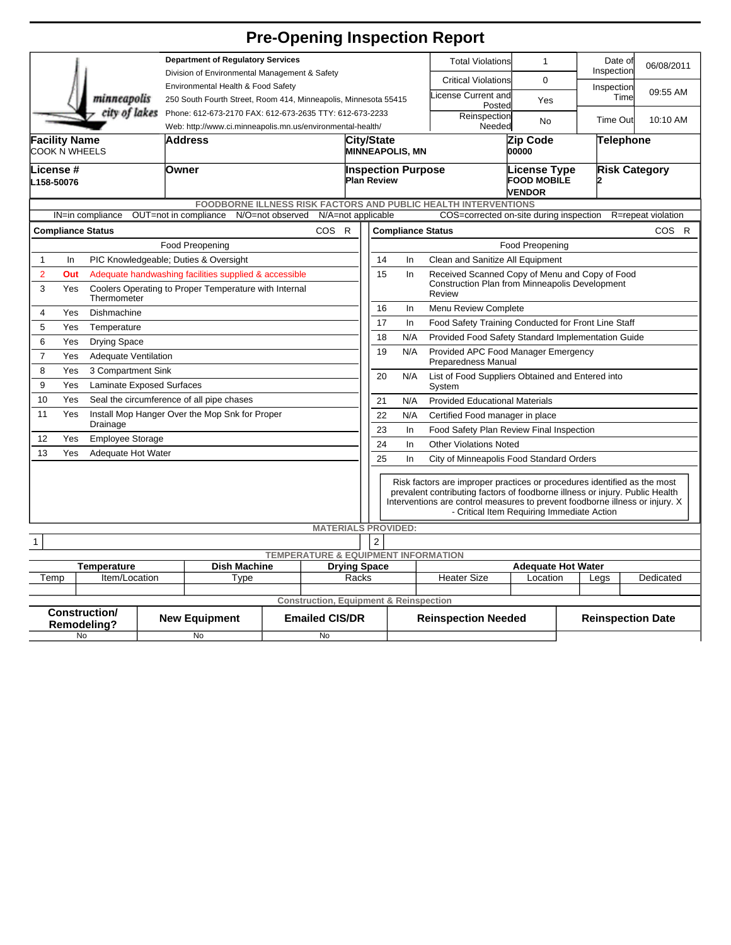## **Pre-Opening Inspection Report**

|                                                                                                                                                                                                                        |                                                              |  | <b>Department of Regulatory Services</b>                                            |  |                                                   |                                                               |                                                                                                                                                                                                                                                                                        |                                                                 |                                                           | <b>Total Violations</b>                                    | $\mathbf{1}$             |                      | Date of<br>Inspection | 06/08/2011 |  |
|------------------------------------------------------------------------------------------------------------------------------------------------------------------------------------------------------------------------|--------------------------------------------------------------|--|-------------------------------------------------------------------------------------|--|---------------------------------------------------|---------------------------------------------------------------|----------------------------------------------------------------------------------------------------------------------------------------------------------------------------------------------------------------------------------------------------------------------------------------|-----------------------------------------------------------------|-----------------------------------------------------------|------------------------------------------------------------|--------------------------|----------------------|-----------------------|------------|--|
| minneapolis                                                                                                                                                                                                            |                                                              |  | Division of Environmental Management & Safety<br>Environmental Health & Food Safety |  |                                                   |                                                               |                                                                                                                                                                                                                                                                                        |                                                                 |                                                           | <b>Critical Violations</b>                                 | $\Omega$                 |                      |                       |            |  |
|                                                                                                                                                                                                                        |                                                              |  | 250 South Fourth Street, Room 414, Minneapolis, Minnesota 55415                     |  |                                                   |                                                               |                                                                                                                                                                                                                                                                                        |                                                                 |                                                           | icense Current and                                         | Yes                      |                      | Inspection<br>Time    | 09:55 AM   |  |
|                                                                                                                                                                                                                        | city of lakes                                                |  | Phone: 612-673-2170 FAX: 612-673-2635 TTY: 612-673-2233                             |  |                                                   |                                                               |                                                                                                                                                                                                                                                                                        |                                                                 |                                                           | Posted<br>Reinspection                                     |                          |                      | Time Out              | 10:10 AM   |  |
|                                                                                                                                                                                                                        |                                                              |  | Web: http://www.ci.minneapolis.mn.us/environmental-health/                          |  |                                                   |                                                               |                                                                                                                                                                                                                                                                                        | Needed                                                          |                                                           |                                                            | No                       |                      |                       |            |  |
| <b>Facility Name</b><br>COOK N WHEELS                                                                                                                                                                                  |                                                              |  | Address                                                                             |  |                                                   |                                                               | City/State<br><b>MINNEAPOLIS, MN</b>                                                                                                                                                                                                                                                   |                                                                 |                                                           | Zip Code<br>00000                                          |                          | Telephone            |                       |            |  |
| -icense #<br>L158-50076                                                                                                                                                                                                |                                                              |  | Owner                                                                               |  |                                                   |                                                               | <b>Inspection Purpose</b><br><b>Plan Review</b>                                                                                                                                                                                                                                        |                                                                 |                                                           | <b>License Type</b><br><b>FOOD MOBILE</b><br><b>VENDOR</b> |                          | <b>Risk Category</b> |                       |            |  |
| FOODBORNE ILLNESS RISK FACTORS AND PUBLIC HEALTH INTERVENTIONS<br>OUT=not in compliance<br>N/O=not observed<br>N/A=not applicable<br>COS=corrected on-site during inspection<br>IN=in compliance<br>R=repeat violation |                                                              |  |                                                                                     |  |                                                   |                                                               |                                                                                                                                                                                                                                                                                        |                                                                 |                                                           |                                                            |                          |                      |                       |            |  |
|                                                                                                                                                                                                                        |                                                              |  |                                                                                     |  |                                                   |                                                               |                                                                                                                                                                                                                                                                                        |                                                                 |                                                           |                                                            |                          |                      |                       | COS R      |  |
|                                                                                                                                                                                                                        | <b>COS</b><br><b>Compliance Status</b><br>R                  |  |                                                                                     |  |                                                   |                                                               | <b>Compliance Status</b><br>Food Preopening                                                                                                                                                                                                                                            |                                                                 |                                                           |                                                            |                          |                      |                       |            |  |
| $\mathbf{1}$<br>In                                                                                                                                                                                                     | Food Preopening<br>PIC Knowledgeable; Duties & Oversight     |  |                                                                                     |  |                                                   |                                                               | Clean and Sanitize All Equipment<br>14<br>In                                                                                                                                                                                                                                           |                                                                 |                                                           |                                                            |                          |                      |                       |            |  |
| $\overline{2}$                                                                                                                                                                                                         | Out<br>Adequate handwashing facilities supplied & accessible |  |                                                                                     |  |                                                   |                                                               | Received Scanned Copy of Menu and Copy of Food<br>15<br>In                                                                                                                                                                                                                             |                                                                 |                                                           |                                                            |                          |                      |                       |            |  |
| 3<br>Coolers Operating to Proper Temperature with Internal<br>Yes<br>Thermometer                                                                                                                                       |                                                              |  |                                                                                     |  |                                                   |                                                               | Construction Plan from Minneapolis Development<br>Review                                                                                                                                                                                                                               |                                                                 |                                                           |                                                            |                          |                      |                       |            |  |
| $\overline{4}$<br>Yes<br>Dishmachine                                                                                                                                                                                   |                                                              |  |                                                                                     |  |                                                   |                                                               | 16                                                                                                                                                                                                                                                                                     | Menu Review Complete<br>In                                      |                                                           |                                                            |                          |                      |                       |            |  |
| 5<br>Yes<br>Temperature                                                                                                                                                                                                |                                                              |  |                                                                                     |  |                                                   |                                                               | 17                                                                                                                                                                                                                                                                                     |                                                                 | In<br>Food Safety Training Conducted for Front Line Staff |                                                            |                          |                      |                       |            |  |
| 6<br>Yes<br><b>Drying Space</b>                                                                                                                                                                                        |                                                              |  |                                                                                     |  |                                                   |                                                               |                                                                                                                                                                                                                                                                                        | 18<br>N/A<br>Provided Food Safety Standard Implementation Guide |                                                           |                                                            |                          |                      |                       |            |  |
| $\overline{7}$<br>Yes<br><b>Adequate Ventilation</b>                                                                                                                                                                   |                                                              |  |                                                                                     |  |                                                   |                                                               | 19<br>N/A<br>Provided APC Food Manager Emergency<br>Preparedness Manual                                                                                                                                                                                                                |                                                                 |                                                           |                                                            |                          |                      |                       |            |  |
| 8<br>Yes<br>3 Compartment Sink                                                                                                                                                                                         |                                                              |  |                                                                                     |  |                                                   | 20<br>N/A<br>List of Food Suppliers Obtained and Entered into |                                                                                                                                                                                                                                                                                        |                                                                 |                                                           |                                                            |                          |                      |                       |            |  |
| 9<br>Yes<br><b>Laminate Exposed Surfaces</b>                                                                                                                                                                           |                                                              |  |                                                                                     |  |                                                   | System                                                        |                                                                                                                                                                                                                                                                                        |                                                                 |                                                           |                                                            |                          |                      |                       |            |  |
| 10<br>Yes<br>Seal the circumference of all pipe chases                                                                                                                                                                 |                                                              |  |                                                                                     |  |                                                   |                                                               |                                                                                                                                                                                                                                                                                        | 21<br>N/A<br><b>Provided Educational Materials</b>              |                                                           |                                                            |                          |                      |                       |            |  |
| 11<br>Yes<br>Install Mop Hanger Over the Mop Snk for Proper<br>Drainage                                                                                                                                                |                                                              |  |                                                                                     |  |                                                   |                                                               | 22<br>N/A<br>Certified Food manager in place<br>23<br>In<br>Food Safety Plan Review Final Inspection                                                                                                                                                                                   |                                                                 |                                                           |                                                            |                          |                      |                       |            |  |
| 12<br>Yes<br><b>Employee Storage</b>                                                                                                                                                                                   |                                                              |  |                                                                                     |  |                                                   |                                                               | 24<br><b>Other Violations Noted</b><br>In                                                                                                                                                                                                                                              |                                                                 |                                                           |                                                            |                          |                      |                       |            |  |
| Yes<br>13<br>Adequate Hot Water                                                                                                                                                                                        |                                                              |  |                                                                                     |  |                                                   |                                                               |                                                                                                                                                                                                                                                                                        | 25<br>In<br>City of Minneapolis Food Standard Orders            |                                                           |                                                            |                          |                      |                       |            |  |
|                                                                                                                                                                                                                        |                                                              |  |                                                                                     |  |                                                   |                                                               |                                                                                                                                                                                                                                                                                        |                                                                 |                                                           |                                                            |                          |                      |                       |            |  |
|                                                                                                                                                                                                                        |                                                              |  |                                                                                     |  |                                                   |                                                               | Risk factors are improper practices or procedures identified as the most<br>prevalent contributing factors of foodborne illness or injury. Public Health<br>Interventions are control measures to prevent foodborne illness or injury. X<br>- Critical Item Requiring Immediate Action |                                                                 |                                                           |                                                            |                          |                      |                       |            |  |
|                                                                                                                                                                                                                        |                                                              |  |                                                                                     |  | <b>MATERIALS PROVIDED:</b>                        |                                                               |                                                                                                                                                                                                                                                                                        |                                                                 |                                                           |                                                            |                          |                      |                       |            |  |
| $\overline{2}$<br>1<br><b>TEMPERATURE &amp; EQUIPMENT INFORMATION</b>                                                                                                                                                  |                                                              |  |                                                                                     |  |                                                   |                                                               |                                                                                                                                                                                                                                                                                        |                                                                 |                                                           |                                                            |                          |                      |                       |            |  |
| <b>Dish Machine</b><br><b>Drying Space</b><br><b>Temperature</b>                                                                                                                                                       |                                                              |  |                                                                                     |  |                                                   |                                                               |                                                                                                                                                                                                                                                                                        |                                                                 |                                                           | <b>Adequate Hot Water</b>                                  |                          |                      |                       |            |  |
| Item/Location<br>Temp                                                                                                                                                                                                  |                                                              |  | Type                                                                                |  |                                                   | Racks                                                         |                                                                                                                                                                                                                                                                                        |                                                                 | <b>Heater Size</b>                                        | Location                                                   |                          | Legs                 | Dedicated             |            |  |
|                                                                                                                                                                                                                        |                                                              |  |                                                                                     |  | <b>Construction, Equipment &amp; Reinspection</b> |                                                               |                                                                                                                                                                                                                                                                                        |                                                                 |                                                           |                                                            |                          |                      |                       |            |  |
| <b>Construction/</b><br><b>Emailed CIS/DR</b><br><b>New Equipment</b><br>Remodeling?                                                                                                                                   |                                                              |  |                                                                                     |  |                                                   |                                                               |                                                                                                                                                                                                                                                                                        | <b>Reinspection Needed</b>                                      |                                                           |                                                            | <b>Reinspection Date</b> |                      |                       |            |  |
| No                                                                                                                                                                                                                     |                                                              |  | No                                                                                  |  | No                                                |                                                               |                                                                                                                                                                                                                                                                                        |                                                                 |                                                           |                                                            |                          |                      |                       |            |  |